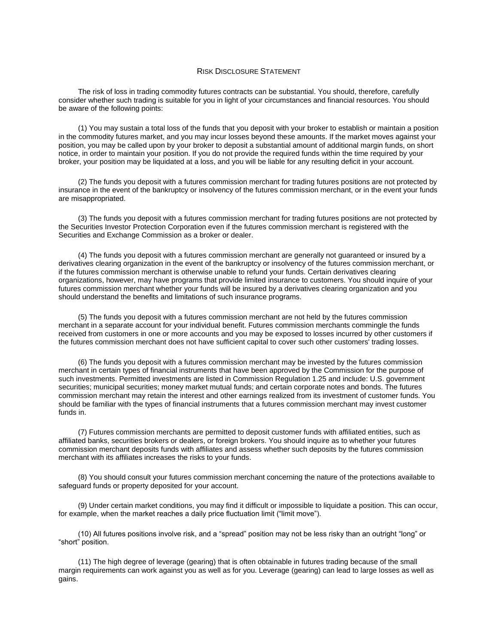## RISK DISCLOSURE STATEMENT

 consider whether such trading is suitable for you in light of your circumstances and financial resources. You should The risk of loss in trading commodity futures contracts can be substantial. You should, therefore, carefully be aware of the following points:

 (1) You may sustain a total loss of the funds that you deposit with your broker to establish or maintain a position position, you may be called upon by your broker to deposit a substantial amount of additional margin funds, on short broker, your position may be liquidated at a loss, and you will be liable for any resulting deficit in your account. in the commodity futures market, and you may incur losses beyond these amounts. If the market moves against your notice, in order to maintain your position. If you do not provide the required funds within the time required by your

(2) The funds you deposit with a futures commission merchant for trading futures positions are not protected by insurance in the event of the bankruptcy or insolvency of the futures commission merchant, or in the event your funds are misappropriated.

(3) The funds you deposit with a futures commission merchant for trading futures positions are not protected by the Securities Investor Protection Corporation even if the futures commission merchant is registered with the Securities and Exchange Commission as a broker or dealer.

 futures commission merchant whether your funds will be insured by a derivatives clearing organization and you (4) The funds you deposit with a futures commission merchant are generally not guaranteed or insured by a derivatives clearing organization in the event of the bankruptcy or insolvency of the futures commission merchant, or if the futures commission merchant is otherwise unable to refund your funds. Certain derivatives clearing organizations, however, may have programs that provide limited insurance to customers. You should inquire of your should understand the benefits and limitations of such insurance programs.

 (5) The funds you deposit with a futures commission merchant are not held by the futures commission merchant in a separate account for your individual benefit. Futures commission merchants commingle the funds received from customers in one or more accounts and you may be exposed to losses incurred by other customers if the futures commission merchant does not have sufficient capital to cover such other customers' trading losses.

 such investments. Permitted investments are listed in Commission Regulation 1.25 and include: U.S. government securities; municipal securities; money market mutual funds; and certain corporate notes and bonds. The futures (6) The funds you deposit with a futures commission merchant may be invested by the futures commission merchant in certain types of financial instruments that have been approved by the Commission for the purpose of commission merchant may retain the interest and other earnings realized from its investment of customer funds. You should be familiar with the types of financial instruments that a futures commission merchant may invest customer funds in.

 affiliated banks, securities brokers or dealers, or foreign brokers. You should inquire as to whether your futures merchant with its affiliates increases the risks to your funds. (7) Futures commission merchants are permitted to deposit customer funds with affiliated entities, such as commission merchant deposits funds with affiliates and assess whether such deposits by the futures commission

 (8) You should consult your futures commission merchant concerning the nature of the protections available to safeguard funds or property deposited for your account.

(9) Under certain market conditions, you may find it difficult or impossible to liquidate a position. This can occur, for example, when the market reaches a daily price fluctuation limit ("limit move").

(10) All futures positions involve risk, and a "spread" position may not be less risky than an outright "long" or "short" position.

 (11) The high degree of leverage (gearing) that is often obtainable in futures trading because of the small margin requirements can work against you as well as for you. Leverage (gearing) can lead to large losses as well as gains.